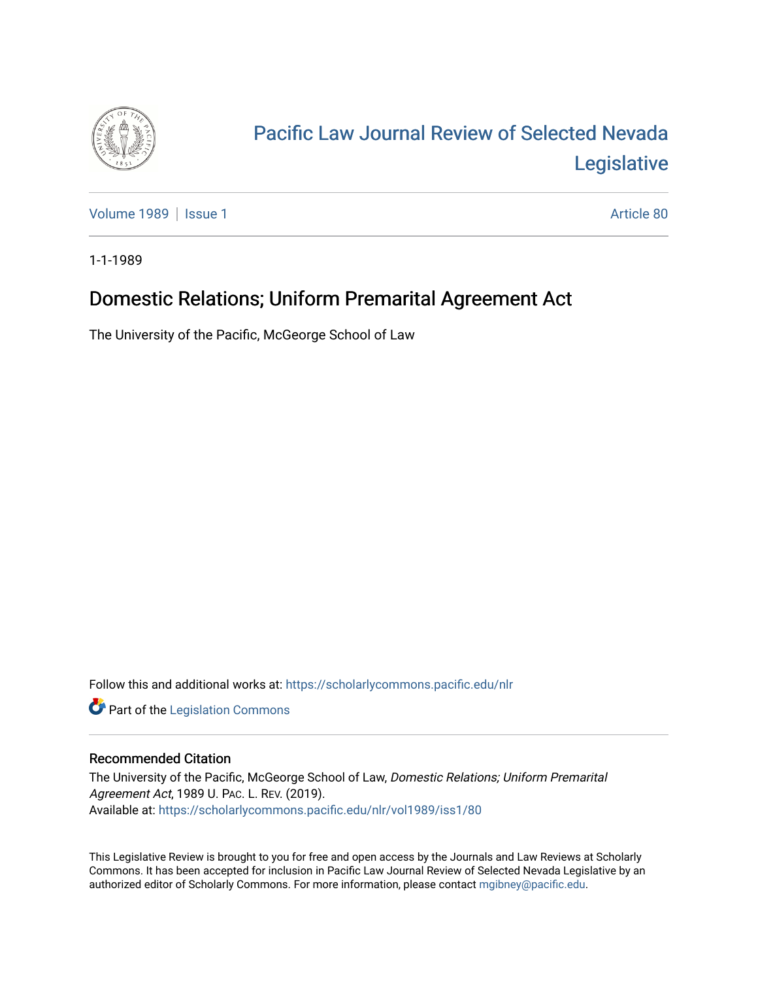

## [Pacific Law Journal Review of Selected Nevada](https://scholarlycommons.pacific.edu/nlr)  [Legislative](https://scholarlycommons.pacific.edu/nlr)

[Volume 1989](https://scholarlycommons.pacific.edu/nlr/vol1989) | [Issue 1](https://scholarlycommons.pacific.edu/nlr/vol1989/iss1) Article 80

1-1-1989

## Domestic Relations; Uniform Premarital Agreement Act

The University of the Pacific, McGeorge School of Law

Follow this and additional works at: [https://scholarlycommons.pacific.edu/nlr](https://scholarlycommons.pacific.edu/nlr?utm_source=scholarlycommons.pacific.edu%2Fnlr%2Fvol1989%2Fiss1%2F80&utm_medium=PDF&utm_campaign=PDFCoverPages) 

**Part of the [Legislation Commons](http://network.bepress.com/hgg/discipline/859?utm_source=scholarlycommons.pacific.edu%2Fnlr%2Fvol1989%2Fiss1%2F80&utm_medium=PDF&utm_campaign=PDFCoverPages)** 

## Recommended Citation

The University of the Pacific, McGeorge School of Law, Domestic Relations; Uniform Premarital Agreement Act, 1989 U. PAC. L. REV. (2019). Available at: [https://scholarlycommons.pacific.edu/nlr/vol1989/iss1/80](https://scholarlycommons.pacific.edu/nlr/vol1989/iss1/80?utm_source=scholarlycommons.pacific.edu%2Fnlr%2Fvol1989%2Fiss1%2F80&utm_medium=PDF&utm_campaign=PDFCoverPages)

This Legislative Review is brought to you for free and open access by the Journals and Law Reviews at Scholarly Commons. It has been accepted for inclusion in Pacific Law Journal Review of Selected Nevada Legislative by an authorized editor of Scholarly Commons. For more information, please contact [mgibney@pacific.edu](mailto:mgibney@pacific.edu).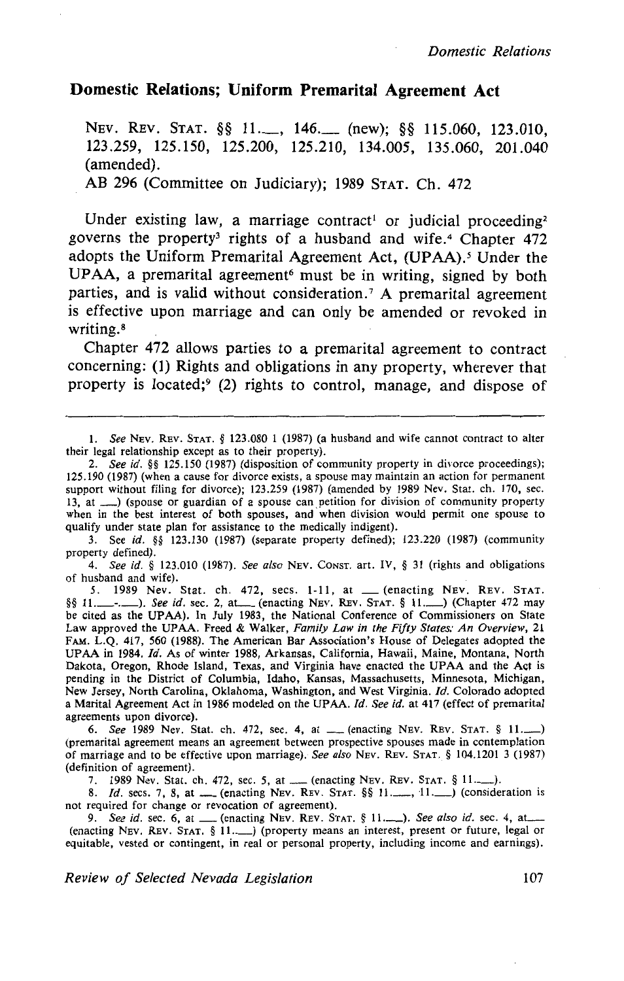## **Domestic Relations; Uniform Premarital Agreement Act**

NEV. REV. STAT. §§ 11.\_\_, 146.\_\_ (new); §§ 115.060, 123.010, 123.259, 125.150, 125.200, 125.210, 134.005, 135.060, 201.040 (amended).

AB 296 (Committee on Judiciary); 1989 STAT. Ch. 472

Under existing law, a marriage contract<sup>1</sup> or judicial proceeding<sup>2</sup> governs the property<sup>3</sup> rights of a husband and wife.<sup>4</sup> Chapter  $472$ adopts the Uniform Premarital Agreement Act, (UPAA).<sup>5</sup> Under the UPAA, a premarital agreement<sup>6</sup> must be in writing, signed by both parties, and is valid without consideration.<sup>7</sup> A premarital agreement is effective upon marriage and can only be amended or revoked in writing. 8

Chapter 472 allows parties to a premarital agreement to contract concerning: (1) Rights and obligations in any property, wherever that property is located;9 (2) rights to control, manage, and dispose of

4. *See id.* § 123.010 (1987). *See also* NEv. CoNST. art. IV, § 31 (rights and obligations of husband and wife).

5. 1989 Nev. Stat. ch. 472, sees. 1-11, at \_(enacting NEv. REv. STAT. §§ 11.--.-). *See id.* sec. 2, at\_ (enacting NEV. REv. STAT. § \I.\_) (Chapter 472 may be cited as the UPAA). In July 1983, the National Conference of Commissioners on State Law approved the UPAA. Freed & Walker, *Family Law in the Fifty States: An Overview,* 21 FAM. L.Q. 417, 560 (1988). The American Bar Association's House of Delegates adopted the UPAA in 1984. *!d.* As of winter 1988, Arkansas, California, Hawaii, Maine, Montana, North Dakota, Oregon, Rhode Island, Texas, and Virginia have enacted the UPAA and the Act is pending in the District of Columbia, Idaho, Kansas, Massachusetts, Minnesota, Michigan, New Jersey, North Carolina, Oklahoma, Washington, and West Virginia. */d.* Colorado adopted a Marital Agreement Act in 1986 modeled on the UPAA. *Jd. See id.* at 417 (effect of premarital agreements upon divorce).

6. See 1989 Nev. Stat. ch. 472, sec. 4, at \_\_ (enacting NEV. REV. STAT. § 11. (premarital agreement means an agreement between prospective spouses made in contemplation of marriage and to be effective upon marriage). *See also* NEv. REv. STAT. § 104.1201 3 (1987) (definition of agreement).

7. 1989 Nev. Stat. ch. 472, sec. 5, at \_\_ (enacting NEv. REV. STAT. § 11.\_\_\_).

8. *Id.* secs. 7, 8, at ...... (enacting NEV. REV. STAT. §§ 11......., 11...........) (consideration is not required for change or revocation of agreement).

ot required for change or revocation of agreement).<br>9. *See id.* sec. 6, at \_\_\_ (enacting NEV. REV. STAT. § 11.\_\_\_). *See also id.* sec. 4, at \_\_\_<br>(enacting NEV. REV. STAT. § 11.\_\_\_) (property means an interest, present or equitable, vested or contingent, in real or personal property, including income and earnings).

I. *See* NEv. REV. STAT. § 123.080 1 (1987) (a husband and wife cannot contract to alter their legal relationship except as to their property).

<sup>2.</sup> *See id.* §§ 125.150 (1987) (disposition of community property in divorce proceedings); 125.190 (1987) (when a cause for divorce exists, a spouse may maintain an action for permanent support without filing for divorce); 123.259 (1987) (amended by 1989 Nev. Stat. ch. 170, sec. 13, at \_) (spouse or guardian of a spouse can petition for division of community property when in the best interest of both spouses, and when division would permit one spouse to qualify under state plan for assistance to the medically indigent).

<sup>3.</sup> See *id.* §§ 123.130 (1987) (separate property defined); 123.220 (1987) (community property defined).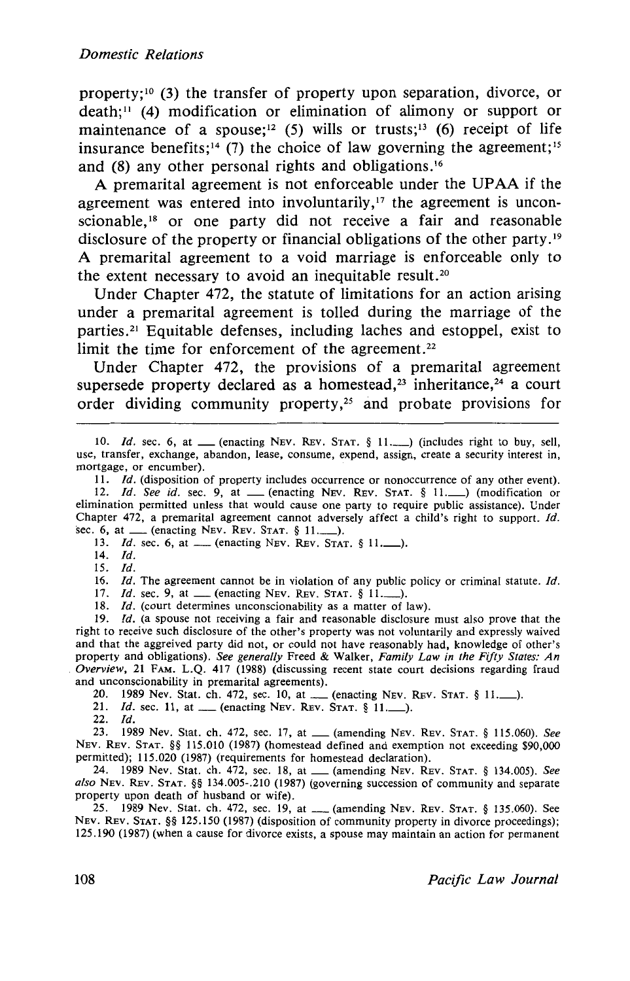property; 10 (3) the transfer of property upon separation, divorce, or death; 11 (4) modification or elimination of alimony or support or maintenance of a spouse;<sup>12</sup> (5) wills or trusts;<sup>13</sup> (6) receipt of life insurance benefits;<sup>14</sup> (7) the choice of law governing the agreement;<sup>15</sup> and (8) any other personal rights and obligations. <sup>16</sup>

A premarital agreement is not enforceable under the UPAA if the agreement was entered into involuntarily, $17$  the agreement is unconscionable,<sup>18</sup> or one party did not receive a fair and reasonable disclosure of the property or financial obligations of the other party . 19 A premarital agreement to a void marriage is enforceable only to the extent necessary to avoid an inequitable result.<sup>20</sup>

Under Chapter 472, the statute of limitations for an action arising under a premarital agreement is tolled during the marriage of the parties. 21 Equitable defenses, including laches and estoppel, exist to limit the time for enforcement of the agreement.<sup>22</sup>

Under Chapter 472, the provisions of a premarital agreement supersede property declared as a homestead,<sup>23</sup> inheritance,<sup>24</sup> a court order dividing community property,<sup> $25$ </sup> and probate provisions for

13. *Id.* sec. 6, at \_\_ (enacting NEV. REV. STAT. § 11. \_\_).

- 14. *Id.*
- 15. /d.

16. *Id.* The agreement cannot be in violation of any public policy or criminal statute. */d.* 

17. *Id.* sec. 9, at <u>...</u> (enacting NEV. REV. STAT. § 11......).

18. *Id.* (court determines unconscionability as a matter of law).

19. *Id.* (a spouse not receiving a fair and reasonable disclosure must also prove that the right to receive such disclosure of the other's property was not voluntarily and expressly waived and that the aggreived party did not, or could not have reasonably had, knowledge of other's property and obligations). *See generally* Freed & Walker, *Family Law in the Fifty States: An Overview,* 21 FAM. L.Q. 417 (1988) (discussing recent state court decisions regarding fraud and unconscionability in premarital agreements).

unconscionability in premarital agreements).<br>20. 1989 Nev. Stat. ch. 472, sec. 10, at — (enacting NEv. REv. STAT. § 11. — ).

20. **1989 Nev. Stat. cn. 4/2, sec. 10, at .....** (enacting NEv. R<br>21. *Id.* sec. 11, at ....... (enacting NEV. REV. STAT. § 11........).

 $22.$  *Id.* 

23. 1989 Nev. Stat. ch. 472, sec. 17, at\_ (amending NEv. REv. STAT. § 115.060). *See*  NEv. REv. STAT. §§ 115.010 (1987) (homestead defined and exemption not exceeding \$90,000 permitted); 115.020 (1987) (requirements for homestead declaration).

24. 1989 Nev. Stat. ch. 472, sec. 18, at\_ (amending NEv. REv. STAT. § 134.005). *See also* NEv. REv. STAT. §§ 134.005-.210 (1987) (governing succession of community and separate property upon death of husband or wife).

25. 1989 Nev. Stat. ch. 472, sec. 19, at \_\_\_ (amending NEv. REV. STAT. § 135.060). See NEv. REv. STAT. §§ 125.150 (1987) (disposition of community property in divorce proceedings); 125.190 (1987) (when a cause for divorce exists, a spouse may maintain an action for permanent

<sup>10.</sup> *Id.* sec. 6, at <u>equal enacting NEV. REV. STAT.</u> § 11. (includes right to buy, sell, use, transfer, exchange, abandon, lease, consume, expend, assign, create a security interest in, mortgage, or encumber).

<sup>11.</sup> *Id.* (disposition of property includes occurrence or nonoccurrence of any other event). 12. *Id. See id.* sec. 9, at <u>eque</u> (enacting NEV. REV. STAT. § 11...........) (modification or elimination permitted unless that would cause one party to require public assistance). Under Chapter 472, a premarital agreement cannot adversely affect a child's right to support. */d.*  sec. 6, at  $\frac{1}{2}$  (enacting NEV. REV. STAT. § 11..........).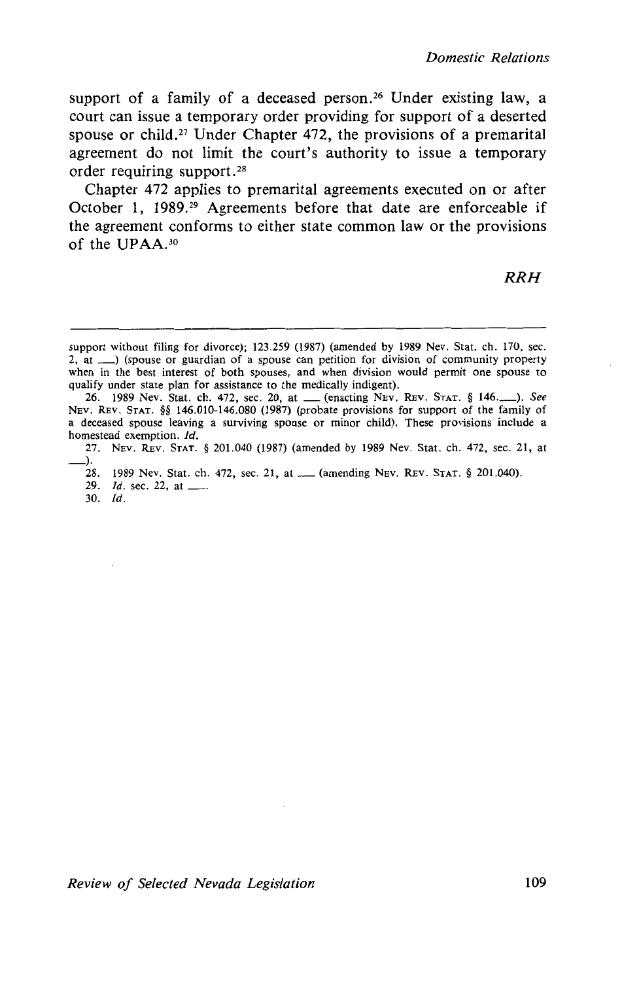support of a family of a deceased person.<sup>26</sup> Under existing law, a court can issue a temporary order providing for support of a deserted spouse or child.<sup>27</sup> Under Chapter 472, the provisions of a premarital agreement do not limit the court's authority to issue a temporary order requiring support. 28

Chapter 472 applies to premarital agreements executed on or after October 1, 1989.29 Agreements before that date are enforceable if the agreement conforms to either state common law or the provisions of the UPAA.<sup>30</sup>

*RRH* 

27. NEv. REv. STAT. § 201.040 (1987) (amended by 1989 Nev. Stat. ch. 472, sec. 21, at ->·

- 28. 1989 Nev. Stat. ch. 472, sec. 21, at ...... (amending NEv. REv. STAT. § 201.040). 28. 1989 Nev. Stat. ch. 4<br>29. *Id.* sec. 22, at <u>---</u> ...<br>30. *Id.*
- 

*Review of Selected Nevada Legislation* 109

support without filing for divorce); 123.259 (1987) (amended by 1989 Nev. Stat. ch. 170, sec. 2, at  $\Box$ ) (spouse or guardian of a spouse can petition for division of community property when in the best interest of both spouses, and when division would permit one spouse to qualify under state plan for assistance to the medically indigent).

<sup>26. 1989</sup> Nev. Stat. ch. 472, sec. 20, at \_(enacting NEV. REv. STAT. § 146.\_). *See*  NEv. REv. STAT. §§ 146.010-146.080 (1987) (probate provisions for support of the family of a deceased spouse leaving a surviving spouse or minor child). These provisions include a homestead exemption. *Id.*